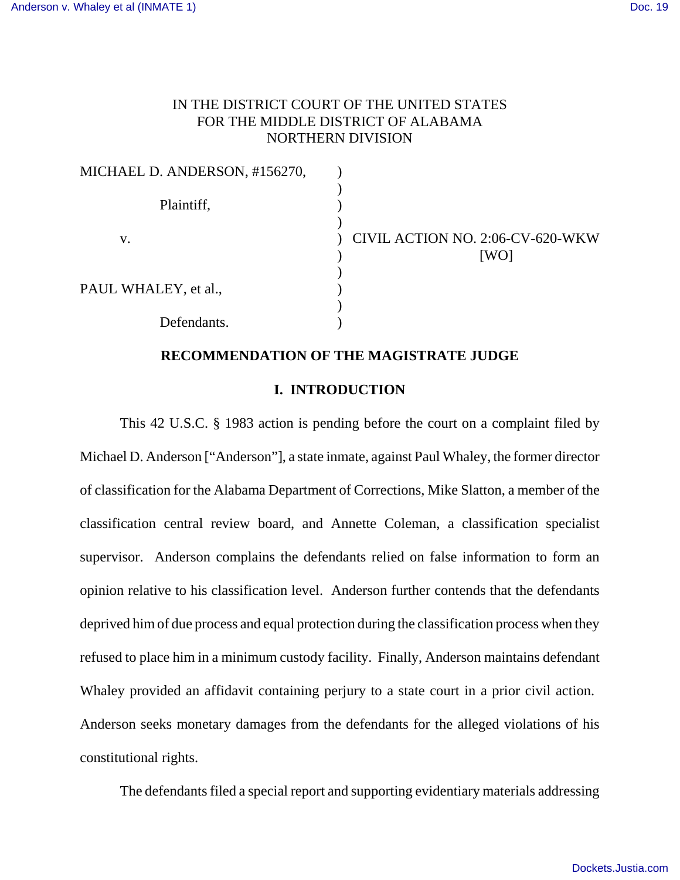# IN THE DISTRICT COURT OF THE UNITED STATES FOR THE MIDDLE DISTRICT OF ALABAMA NORTHERN DIVISION

| MICHAEL D. ANDERSON, #156270, |                                          |
|-------------------------------|------------------------------------------|
| Plaintiff,                    |                                          |
| V.                            | CIVIL ACTION NO. 2:06-CV-620-WKW<br>[WO] |
| PAUL WHALEY, et al.,          |                                          |
| Defendants.                   |                                          |

## **RECOMMENDATION OF THE MAGISTRATE JUDGE**

## **I. INTRODUCTION**

This 42 U.S.C. § 1983 action is pending before the court on a complaint filed by Michael D. Anderson ["Anderson"], a state inmate, against Paul Whaley, the former director of classification for the Alabama Department of Corrections, Mike Slatton, a member of the classification central review board, and Annette Coleman, a classification specialist supervisor. Anderson complains the defendants relied on false information to form an opinion relative to his classification level. Anderson further contends that the defendants deprived him of due process and equal protection during the classification process when they refused to place him in a minimum custody facility. Finally, Anderson maintains defendant Whaley provided an affidavit containing perjury to a state court in a prior civil action. Anderson seeks monetary damages from the defendants for the alleged violations of his constitutional rights.

The defendants filed a special report and supporting evidentiary materials addressing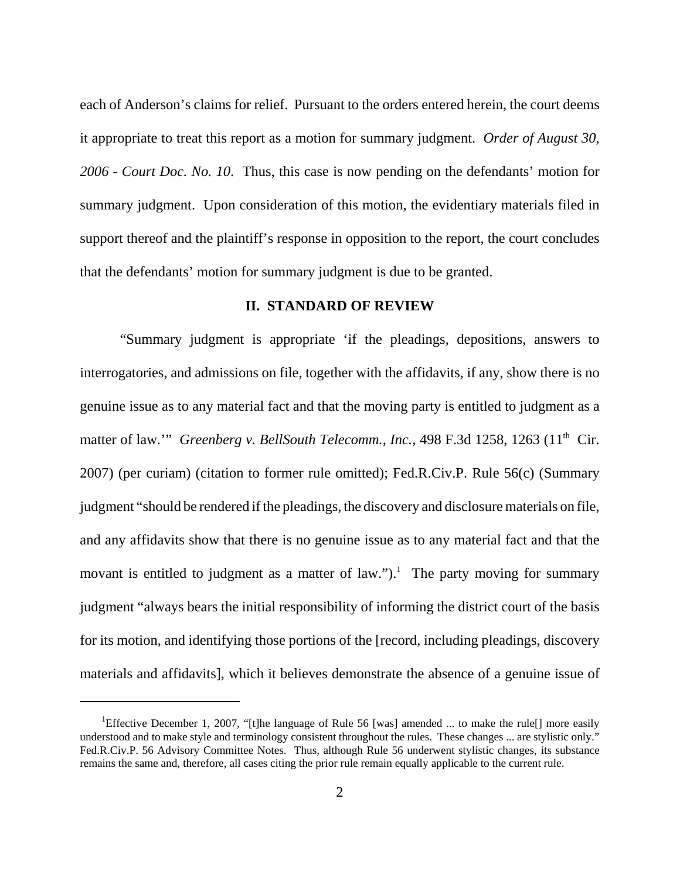each of Anderson's claims for relief. Pursuant to the orders entered herein, the court deems it appropriate to treat this report as a motion for summary judgment. *Order of August 30, 2006 - Court Doc. No. 10*. Thus, this case is now pending on the defendants' motion for summary judgment. Upon consideration of this motion, the evidentiary materials filed in support thereof and the plaintiff's response in opposition to the report, the court concludes that the defendants' motion for summary judgment is due to be granted.

## **II. STANDARD OF REVIEW**

"Summary judgment is appropriate 'if the pleadings, depositions, answers to interrogatories, and admissions on file, together with the affidavits, if any, show there is no genuine issue as to any material fact and that the moving party is entitled to judgment as a matter of law." *Greenberg v. BellSouth Telecomm., Inc.*, 498 F.3d 1258, 1263 (11<sup>th</sup> Cir. 2007) (per curiam) (citation to former rule omitted); Fed.R.Civ.P. Rule 56(c) (Summary judgment "should be rendered if the pleadings, the discovery and disclosure materials on file, and any affidavits show that there is no genuine issue as to any material fact and that the movant is entitled to judgment as a matter of law.").<sup>1</sup> The party moving for summary judgment "always bears the initial responsibility of informing the district court of the basis for its motion, and identifying those portions of the [record, including pleadings, discovery materials and affidavits], which it believes demonstrate the absence of a genuine issue of

<sup>&</sup>lt;sup>1</sup>Effective December 1, 2007, "[t]he language of Rule 56 [was] amended ... to make the rule[] more easily understood and to make style and terminology consistent throughout the rules. These changes ... are stylistic only." Fed.R.Civ.P. 56 Advisory Committee Notes. Thus, although Rule 56 underwent stylistic changes, its substance remains the same and, therefore, all cases citing the prior rule remain equally applicable to the current rule.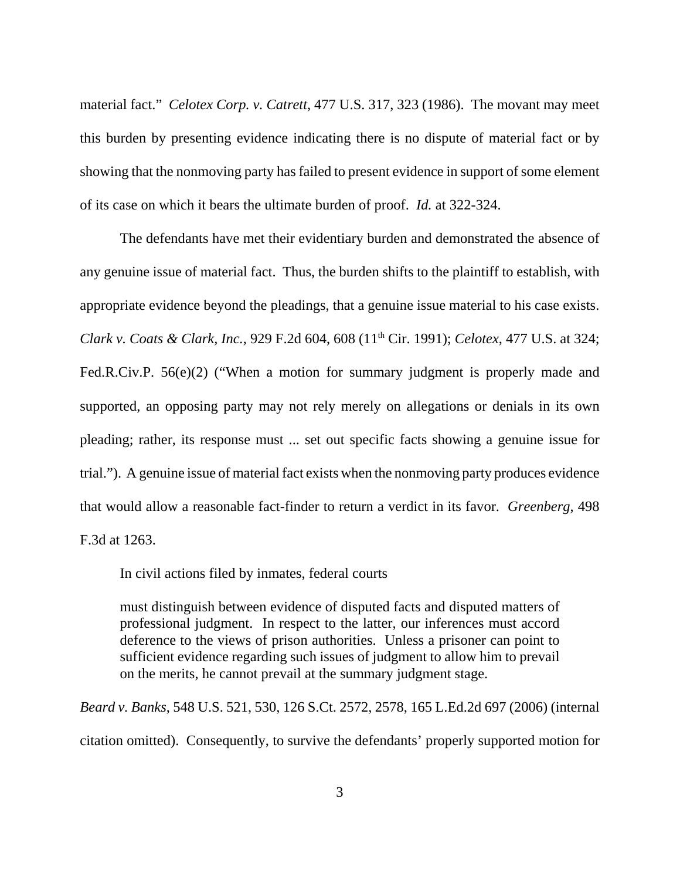material fact." *Celotex Corp. v. Catrett*, 477 U.S. 317, 323 (1986). The movant may meet this burden by presenting evidence indicating there is no dispute of material fact or by showing that the nonmoving party has failed to present evidence in support of some element of its case on which it bears the ultimate burden of proof. *Id.* at 322-324.

The defendants have met their evidentiary burden and demonstrated the absence of any genuine issue of material fact. Thus, the burden shifts to the plaintiff to establish, with appropriate evidence beyond the pleadings, that a genuine issue material to his case exists. *Clark v. Coats & Clark, Inc.*, 929 F.2d 604, 608 (11th Cir. 1991); *Celotex*, 477 U.S. at 324; Fed.R.Civ.P. 56(e)(2) ("When a motion for summary judgment is properly made and supported, an opposing party may not rely merely on allegations or denials in its own pleading; rather, its response must ... set out specific facts showing a genuine issue for trial."). A genuine issue of material fact exists when the nonmoving party produces evidence that would allow a reasonable fact-finder to return a verdict in its favor. *Greenberg*, 498 F.3d at 1263.

In civil actions filed by inmates, federal courts

must distinguish between evidence of disputed facts and disputed matters of professional judgment. In respect to the latter, our inferences must accord deference to the views of prison authorities. Unless a prisoner can point to sufficient evidence regarding such issues of judgment to allow him to prevail on the merits, he cannot prevail at the summary judgment stage.

*Beard v. Banks*, 548 U.S. 521, 530, 126 S.Ct. 2572, 2578, 165 L.Ed.2d 697 (2006) (internal citation omitted). Consequently, to survive the defendants' properly supported motion for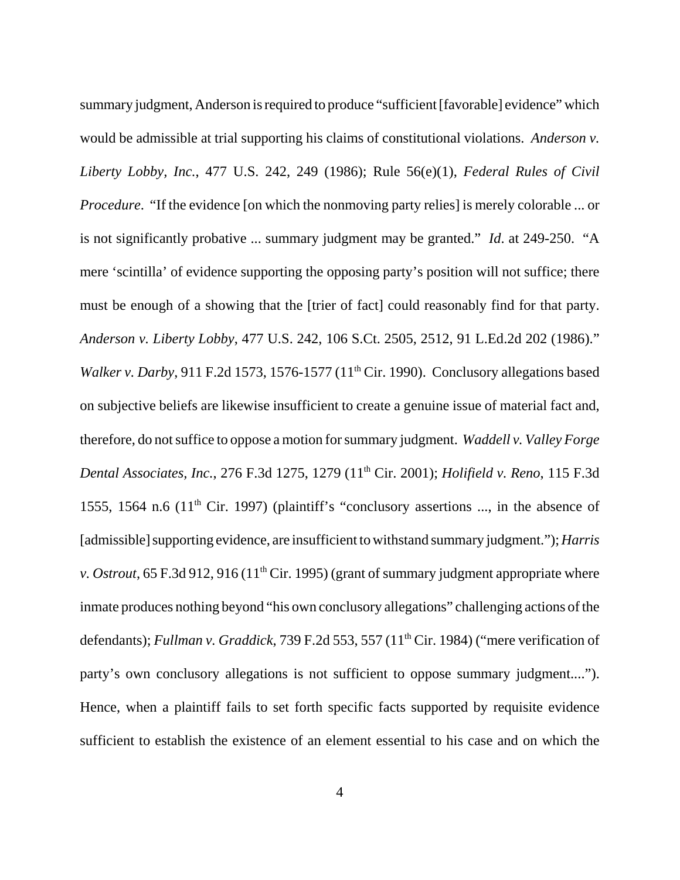summary judgment, Anderson is required to produce "sufficient [favorable] evidence" which would be admissible at trial supporting his claims of constitutional violations. *Anderson v. Liberty Lobby, Inc.*, 477 U.S. 242, 249 (1986); Rule 56(e)(1), *Federal Rules of Civil Procedure*. "If the evidence [on which the nonmoving party relies] is merely colorable ... or is not significantly probative ... summary judgment may be granted." *Id*. at 249-250. "A mere 'scintilla' of evidence supporting the opposing party's position will not suffice; there must be enough of a showing that the [trier of fact] could reasonably find for that party. *Anderson v. Liberty Lobby*, 477 U.S. 242, 106 S.Ct. 2505, 2512, 91 L.Ed.2d 202 (1986)." *Walker v. Darby*, 911 F.2d 1573, 1576-1577 (11<sup>th</sup> Cir. 1990). Conclusory allegations based on subjective beliefs are likewise insufficient to create a genuine issue of material fact and, therefore, do not suffice to oppose a motion for summary judgment. *Waddell v. Valley Forge Dental Associates, Inc.*, 276 F.3d 1275, 1279 (11th Cir. 2001); *Holifield v. Reno*, 115 F.3d 1555, 1564 n.6 (11<sup>th</sup> Cir. 1997) (plaintiff's "conclusory assertions ..., in the absence of [admissible] supporting evidence, are insufficient to withstand summary judgment."); *Harris v. Ostrout*, 65 F.3d 912, 916 (11<sup>th</sup> Cir. 1995) (grant of summary judgment appropriate where inmate produces nothing beyond "his own conclusory allegations" challenging actions of the defendants); *Fullman v. Graddick*, 739 F.2d 553, 557 (11<sup>th</sup> Cir. 1984) ("mere verification of party's own conclusory allegations is not sufficient to oppose summary judgment...."). Hence, when a plaintiff fails to set forth specific facts supported by requisite evidence sufficient to establish the existence of an element essential to his case and on which the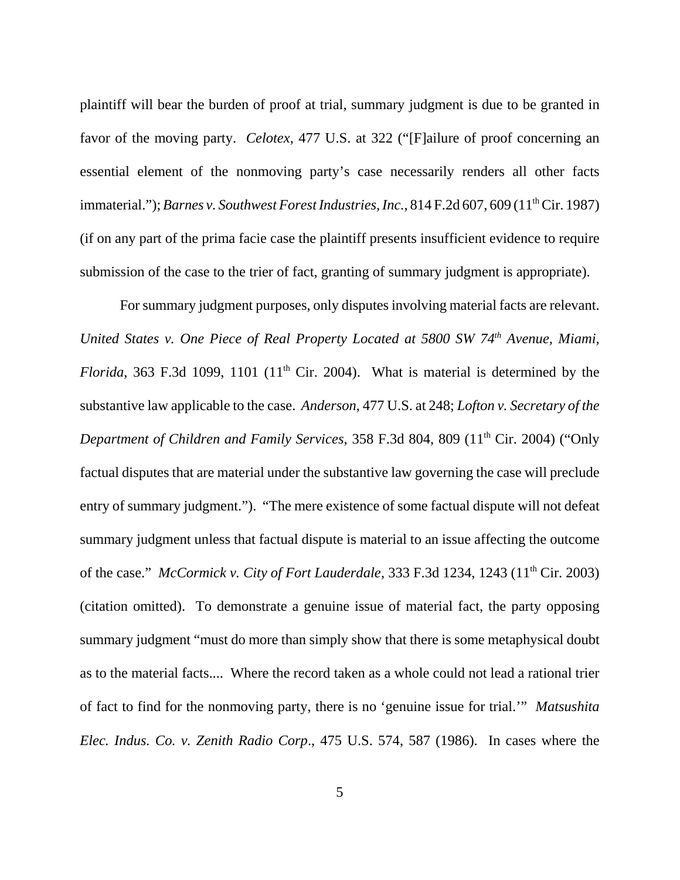plaintiff will bear the burden of proof at trial, summary judgment is due to be granted in favor of the moving party. *Celotex*, 477 U.S. at 322 ("[F]ailure of proof concerning an essential element of the nonmoving party's case necessarily renders all other facts immaterial."); *Barnes v. Southwest Forest Industries, Inc.*, 814 F.2d 607, 609 (11<sup>th</sup> Cir. 1987) (if on any part of the prima facie case the plaintiff presents insufficient evidence to require submission of the case to the trier of fact, granting of summary judgment is appropriate).

For summary judgment purposes, only disputes involving material facts are relevant. *United States v. One Piece of Real Property Located at 5800 SW 74th Avenue, Miami, Florida*, 363 F.3d 1099, 1101 (11<sup>th</sup> Cir. 2004). What is material is determined by the substantive law applicable to the case. *Anderson*, 477 U.S. at 248; *Lofton v. Secretary of the Department of Children and Family Services*, 358 F.3d 804, 809 (11<sup>th</sup> Cir. 2004) ("Only factual disputes that are material under the substantive law governing the case will preclude entry of summary judgment."). "The mere existence of some factual dispute will not defeat summary judgment unless that factual dispute is material to an issue affecting the outcome of the case." *McCormick v. City of Fort Lauderdale*, 333 F.3d 1234, 1243 (11th Cir. 2003) (citation omitted). To demonstrate a genuine issue of material fact, the party opposing summary judgment "must do more than simply show that there is some metaphysical doubt as to the material facts.... Where the record taken as a whole could not lead a rational trier of fact to find for the nonmoving party, there is no 'genuine issue for trial.'" *Matsushita Elec. Indus. Co. v. Zenith Radio Corp*., 475 U.S. 574, 587 (1986). In cases where the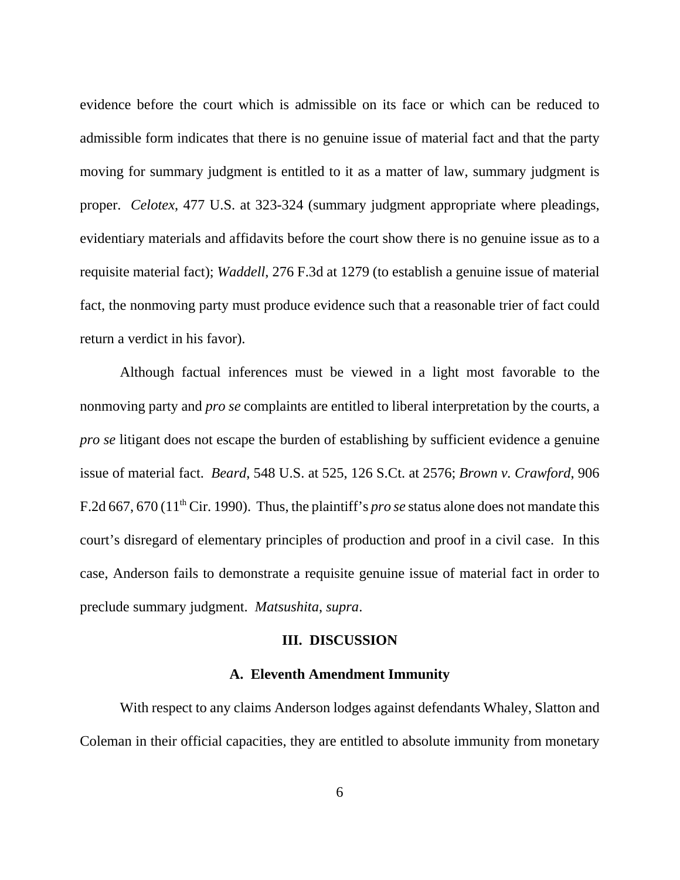evidence before the court which is admissible on its face or which can be reduced to admissible form indicates that there is no genuine issue of material fact and that the party moving for summary judgment is entitled to it as a matter of law, summary judgment is proper. *Celotex*, 477 U.S. at 323-324 (summary judgment appropriate where pleadings, evidentiary materials and affidavits before the court show there is no genuine issue as to a requisite material fact); *Waddell*, 276 F.3d at 1279 (to establish a genuine issue of material fact, the nonmoving party must produce evidence such that a reasonable trier of fact could return a verdict in his favor).

Although factual inferences must be viewed in a light most favorable to the nonmoving party and *pro se* complaints are entitled to liberal interpretation by the courts, a *pro se* litigant does not escape the burden of establishing by sufficient evidence a genuine issue of material fact. *Beard*, 548 U.S. at 525, 126 S.Ct. at 2576; *Brown v. Crawford*, 906 F.2d 667, 670 (11th Cir. 1990). Thus, the plaintiff's *pro se* status alone does not mandate this court's disregard of elementary principles of production and proof in a civil case. In this case, Anderson fails to demonstrate a requisite genuine issue of material fact in order to preclude summary judgment. *Matsushita*, *supra*.

#### **III. DISCUSSION**

## **A. Eleventh Amendment Immunity**

With respect to any claims Anderson lodges against defendants Whaley, Slatton and Coleman in their official capacities, they are entitled to absolute immunity from monetary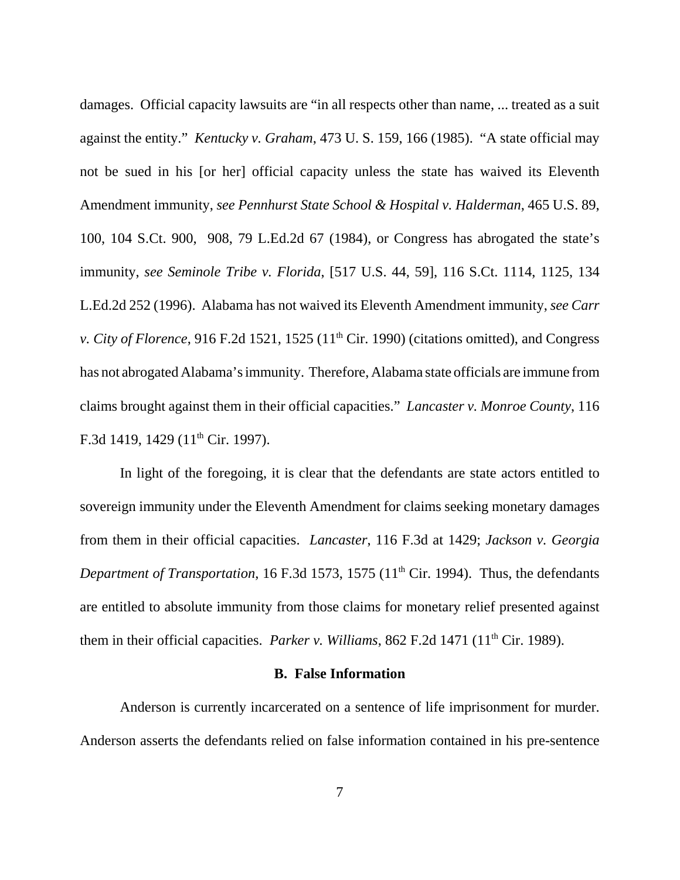damages. Official capacity lawsuits are "in all respects other than name, ... treated as a suit against the entity." *Kentucky v. Graham*, 473 U. S. 159, 166 (1985). "A state official may not be sued in his [or her] official capacity unless the state has waived its Eleventh Amendment immunity, *see Pennhurst State School & Hospital v. Halderman*, 465 U.S. 89, 100, 104 S.Ct. 900, 908, 79 L.Ed.2d 67 (1984), or Congress has abrogated the state's immunity, *see Seminole Tribe v. Florida*, [517 U.S. 44, 59], 116 S.Ct. 1114, 1125, 134 L.Ed.2d 252 (1996). Alabama has not waived its Eleventh Amendment immunity, *see Carr v. City of Florence*, 916 F.2d 1521, 1525  $(11<sup>th</sup> Cir. 1990)$  (citations omitted), and Congress has not abrogated Alabama's immunity. Therefore, Alabama state officials are immune from claims brought against them in their official capacities." *Lancaster v. Monroe County*, 116 F.3d 1419, 1429 (11<sup>th</sup> Cir. 1997).

In light of the foregoing, it is clear that the defendants are state actors entitled to sovereign immunity under the Eleventh Amendment for claims seeking monetary damages from them in their official capacities. *Lancaster*, 116 F.3d at 1429; *Jackson v. Georgia Department of Transportation*, 16 F.3d 1573, 1575 (11<sup>th</sup> Cir. 1994). Thus, the defendants are entitled to absolute immunity from those claims for monetary relief presented against them in their official capacities. *Parker v. Williams*, 862 F.2d 1471 (11<sup>th</sup> Cir. 1989).

### **B. False Information**

Anderson is currently incarcerated on a sentence of life imprisonment for murder. Anderson asserts the defendants relied on false information contained in his pre-sentence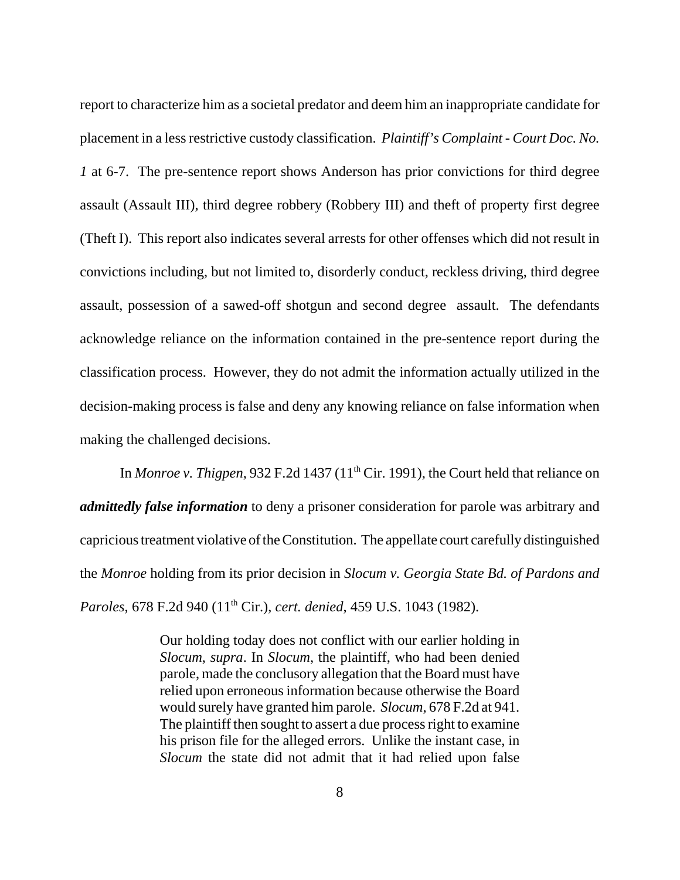report to characterize him as a societal predator and deem him an inappropriate candidate for placement in a less restrictive custody classification. *Plaintiff's Complaint - Court Doc. No. 1* at 6-7. The pre-sentence report shows Anderson has prior convictions for third degree assault (Assault III), third degree robbery (Robbery III) and theft of property first degree (Theft I). This report also indicates several arrests for other offenses which did not result in convictions including, but not limited to, disorderly conduct, reckless driving, third degree assault, possession of a sawed-off shotgun and second degree assault. The defendants acknowledge reliance on the information contained in the pre-sentence report during the classification process. However, they do not admit the information actually utilized in the decision-making process is false and deny any knowing reliance on false information when making the challenged decisions.

In *Monroe v. Thigpen*, 932 F.2d 1437 (11<sup>th</sup> Cir. 1991), the Court held that reliance on *admittedly false information* to deny a prisoner consideration for parole was arbitrary and capricious treatment violative of the Constitution. The appellate court carefully distinguished the *Monroe* holding from its prior decision in *Slocum v. Georgia State Bd. of Pardons and Paroles*, 678 F.2d 940 (11<sup>th</sup> Cir.), *cert. denied*, 459 U.S. 1043 (1982).

> Our holding today does not conflict with our earlier holding in *Slocum*, *supra*. In *Slocum*, the plaintiff, who had been denied parole, made the conclusory allegation that the Board must have relied upon erroneous information because otherwise the Board would surely have granted him parole. *Slocum*, 678 F.2d at 941. The plaintiff then sought to assert a due process right to examine his prison file for the alleged errors. Unlike the instant case, in *Slocum* the state did not admit that it had relied upon false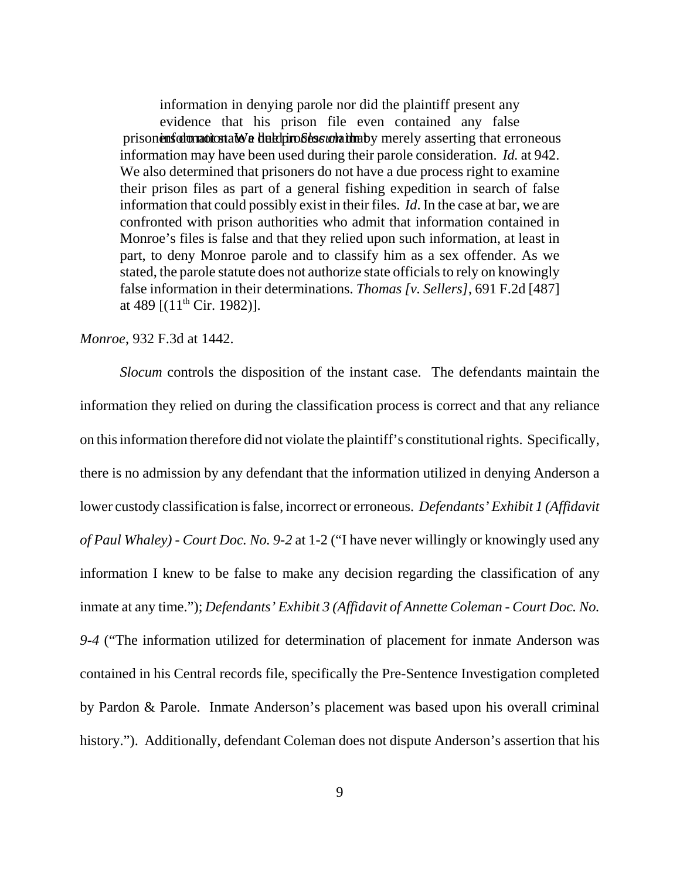information in denying parole nor did the plaintiff present any evidence that his prison file even contained any false prisonens do not state a due the due process contained by merely asserting that erroneous information may have been used during their parole consideration. *Id.* at 942. We also determined that prisoners do not have a due process right to examine their prison files as part of a general fishing expedition in search of false information that could possibly exist in their files. *Id*. In the case at bar, we are confronted with prison authorities who admit that information contained in Monroe's files is false and that they relied upon such information, at least in part, to deny Monroe parole and to classify him as a sex offender. As we stated, the parole statute does not authorize state officials to rely on knowingly false information in their determinations. *Thomas [v. Sellers]*, 691 F.2d [487] at 489  $[(11<sup>th</sup> Cir. 1982)].$ 

*Monroe*, 932 F.3d at 1442.

*Slocum* controls the disposition of the instant case. The defendants maintain the information they relied on during the classification process is correct and that any reliance on this information therefore did not violate the plaintiff's constitutional rights. Specifically, there is no admission by any defendant that the information utilized in denying Anderson a lower custody classification is false, incorrect or erroneous. *Defendants' Exhibit 1 (Affidavit of Paul Whaley) - Court Doc. No. 9-2* at 1-2 ("I have never willingly or knowingly used any information I knew to be false to make any decision regarding the classification of any inmate at any time."); *Defendants' Exhibit 3 (Affidavit of Annette Coleman - Court Doc. No. 9-4* ("The information utilized for determination of placement for inmate Anderson was contained in his Central records file, specifically the Pre-Sentence Investigation completed by Pardon & Parole. Inmate Anderson's placement was based upon his overall criminal history."). Additionally, defendant Coleman does not dispute Anderson's assertion that his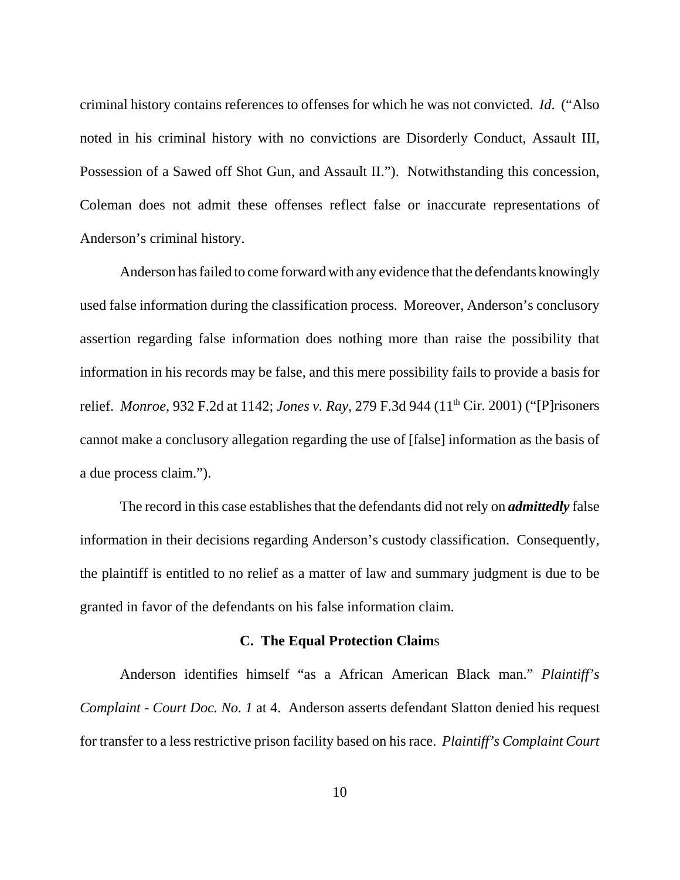criminal history contains references to offenses for which he was not convicted. *Id*. ("Also noted in his criminal history with no convictions are Disorderly Conduct, Assault III, Possession of a Sawed off Shot Gun, and Assault II."). Notwithstanding this concession, Coleman does not admit these offenses reflect false or inaccurate representations of Anderson's criminal history.

Anderson has failed to come forward with any evidence that the defendants knowingly used false information during the classification process. Moreover, Anderson's conclusory assertion regarding false information does nothing more than raise the possibility that information in his records may be false, and this mere possibility fails to provide a basis for relief. *Monroe*, 932 F.2d at 1142; *Jones v. Ray*, 279 F.3d 944 (11th Cir. 2001) ("[P]risoners cannot make a conclusory allegation regarding the use of [false] information as the basis of a due process claim.").

The record in this case establishes that the defendants did not rely on *admittedly* false information in their decisions regarding Anderson's custody classification. Consequently, the plaintiff is entitled to no relief as a matter of law and summary judgment is due to be granted in favor of the defendants on his false information claim.

## **C. The Equal Protection Claim**s

Anderson identifies himself "as a African American Black man." *Plaintiff's Complaint - Court Doc. No. 1* at 4. Anderson asserts defendant Slatton denied his request for transfer to a less restrictive prison facility based on his race. *Plaintiff's Complaint Court*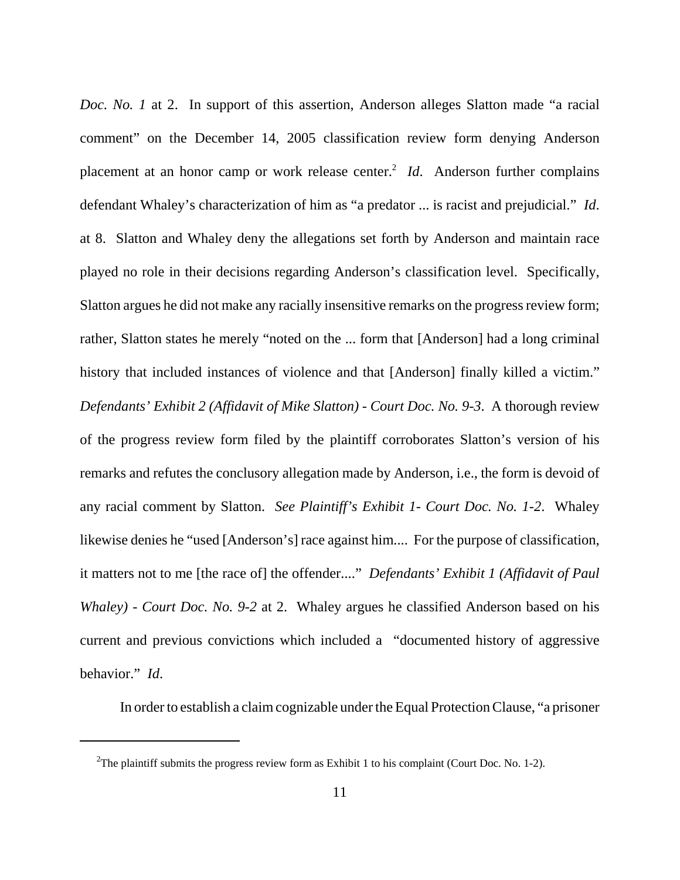*Doc. No. 1* at 2. In support of this assertion, Anderson alleges Slatton made "a racial comment" on the December 14, 2005 classification review form denying Anderson placement at an honor camp or work release center.<sup>2</sup> *Id*. Anderson further complains defendant Whaley's characterization of him as "a predator ... is racist and prejudicial." *Id*. at 8. Slatton and Whaley deny the allegations set forth by Anderson and maintain race played no role in their decisions regarding Anderson's classification level. Specifically, Slatton argues he did not make any racially insensitive remarks on the progress review form; rather, Slatton states he merely "noted on the ... form that [Anderson] had a long criminal history that included instances of violence and that [Anderson] finally killed a victim." *Defendants' Exhibit 2 (Affidavit of Mike Slatton) - Court Doc. No. 9-3*. A thorough review of the progress review form filed by the plaintiff corroborates Slatton's version of his remarks and refutes the conclusory allegation made by Anderson, i.e., the form is devoid of any racial comment by Slatton. *See Plaintiff's Exhibit 1- Court Doc. No. 1-2*. Whaley likewise denies he "used [Anderson's] race against him.... For the purpose of classification, it matters not to me [the race of] the offender...." *Defendants' Exhibit 1 (Affidavit of Paul Whaley) - Court Doc. No. 9-2 at 2.* Whaley argues he classified Anderson based on his current and previous convictions which included a "documented history of aggressive behavior." *Id*.

In order to establish a claim cognizable under the Equal Protection Clause, "a prisoner

<sup>&</sup>lt;sup>2</sup>The plaintiff submits the progress review form as Exhibit 1 to his complaint (Court Doc. No. 1-2).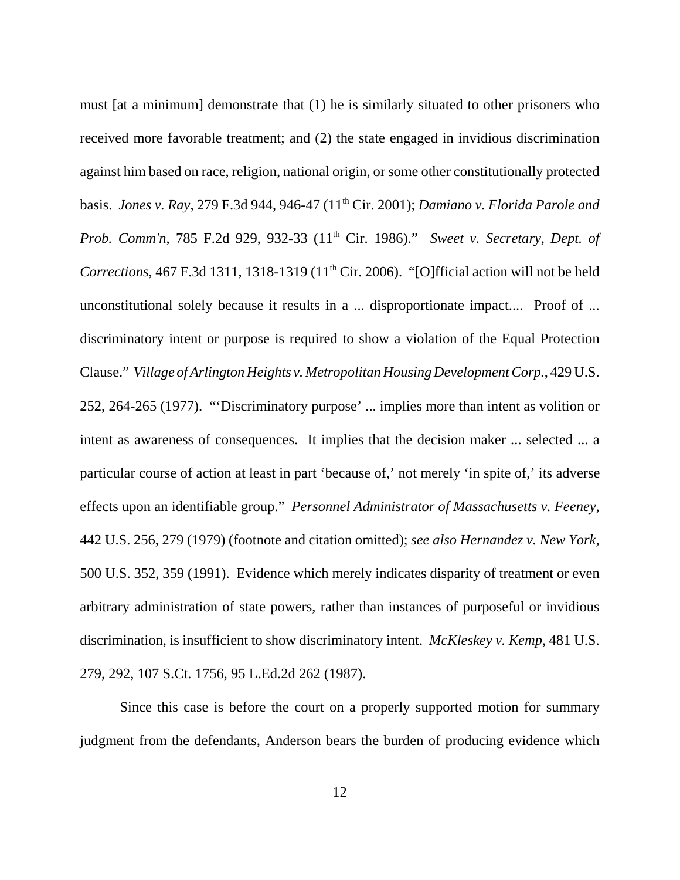must [at a minimum] demonstrate that (1) he is similarly situated to other prisoners who received more favorable treatment; and (2) the state engaged in invidious discrimination against him based on race, religion, national origin, or some other constitutionally protected basis. *Jones v. Ray*, 279 F.3d 944, 946-47 (11th Cir. 2001); *Damiano v. Florida Parole and Prob. Comm'n, 785 F.2d 929, 932-33 (11<sup>th</sup> Cir. 1986)." Sweet v. Secretary, Dept. of Corrections*, 467 F.3d 1311, 1318-1319 (11<sup>th</sup> Cir. 2006). "[O]fficial action will not be held unconstitutional solely because it results in a ... disproportionate impact.... Proof of ... discriminatory intent or purpose is required to show a violation of the Equal Protection Clause." *Village of Arlington Heights v. Metropolitan Housing Development Corp.*, 429 U.S. 252, 264-265 (1977). "'Discriminatory purpose' ... implies more than intent as volition or intent as awareness of consequences. It implies that the decision maker ... selected ... a particular course of action at least in part 'because of,' not merely 'in spite of,' its adverse effects upon an identifiable group." *Personnel Administrator of Massachusetts v. Feeney*, 442 U.S. 256, 279 (1979) (footnote and citation omitted); *see also Hernandez v. New York*, 500 U.S. 352, 359 (1991). Evidence which merely indicates disparity of treatment or even arbitrary administration of state powers, rather than instances of purposeful or invidious discrimination, is insufficient to show discriminatory intent. *McKleskey v. Kemp,* 481 U.S. 279, 292, 107 S.Ct. 1756, 95 L.Ed.2d 262 (1987).

Since this case is before the court on a properly supported motion for summary judgment from the defendants, Anderson bears the burden of producing evidence which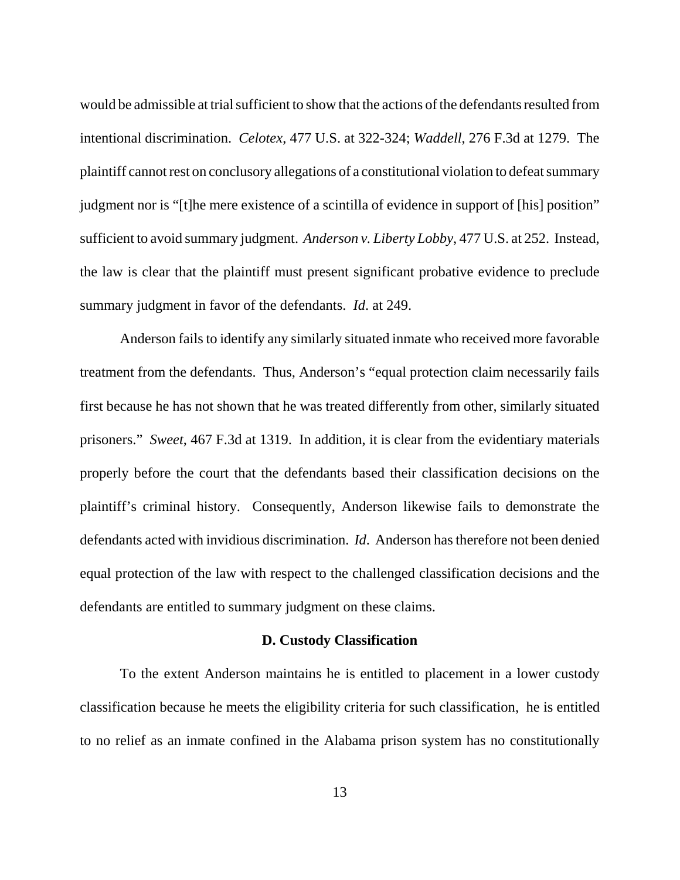would be admissible at trial sufficient to show that the actions of the defendants resulted from intentional discrimination. *Celotex*, 477 U.S. at 322-324; *Waddell*, 276 F.3d at 1279. The plaintiff cannot rest on conclusory allegations of a constitutional violation to defeat summary judgment nor is "[t]he mere existence of a scintilla of evidence in support of [his] position" sufficient to avoid summary judgment. *Anderson v. Liberty Lobby*, 477 U.S. at 252. Instead, the law is clear that the plaintiff must present significant probative evidence to preclude summary judgment in favor of the defendants. *Id*. at 249.

Anderson fails to identify any similarly situated inmate who received more favorable treatment from the defendants. Thus, Anderson's "equal protection claim necessarily fails first because he has not shown that he was treated differently from other, similarly situated prisoners." *Sweet*, 467 F.3d at 1319. In addition, it is clear from the evidentiary materials properly before the court that the defendants based their classification decisions on the plaintiff's criminal history. Consequently, Anderson likewise fails to demonstrate the defendants acted with invidious discrimination. *Id*. Anderson has therefore not been denied equal protection of the law with respect to the challenged classification decisions and the defendants are entitled to summary judgment on these claims.

### **D. Custody Classification**

To the extent Anderson maintains he is entitled to placement in a lower custody classification because he meets the eligibility criteria for such classification, he is entitled to no relief as an inmate confined in the Alabama prison system has no constitutionally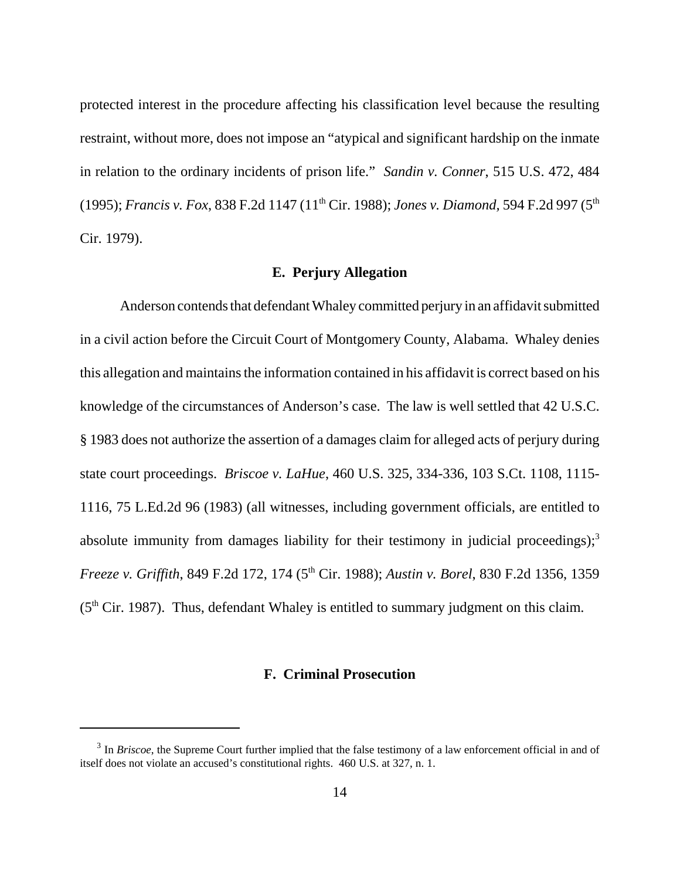protected interest in the procedure affecting his classification level because the resulting restraint, without more, does not impose an "atypical and significant hardship on the inmate in relation to the ordinary incidents of prison life." *Sandin v. Conner*, 515 U.S. 472, 484 (1995); *Francis v. Fox*, 838 F.2d 1147 (11th Cir. 1988); *Jones v. Diamond,* 594 F.2d 997 (5th Cir. 1979).

## **E. Perjury Allegation**

Anderson contends that defendant Whaley committed perjury in an affidavit submitted in a civil action before the Circuit Court of Montgomery County, Alabama. Whaley denies this allegation and maintains the information contained in his affidavit is correct based on his knowledge of the circumstances of Anderson's case. The law is well settled that 42 U.S.C. § 1983 does not authorize the assertion of a damages claim for alleged acts of perjury during state court proceedings. *Briscoe v. LaHue*, 460 U.S. 325, 334-336, 103 S.Ct. 1108, 1115- 1116, 75 L.Ed.2d 96 (1983) (all witnesses, including government officials, are entitled to absolute immunity from damages liability for their testimony in judicial proceedings);<sup>3</sup> *Freeze v. Griffith*, 849 F.2d 172, 174 (5<sup>th</sup> Cir. 1988); *Austin v. Borel*, 830 F.2d 1356, 1359  $(5<sup>th</sup> Cir. 1987)$ . Thus, defendant Whaley is entitled to summary judgment on this claim.

# **F. Criminal Prosecution**

<sup>&</sup>lt;sup>3</sup> In *Briscoe*, the Supreme Court further implied that the false testimony of a law enforcement official in and of itself does not violate an accused's constitutional rights. 460 U.S. at 327, n. 1.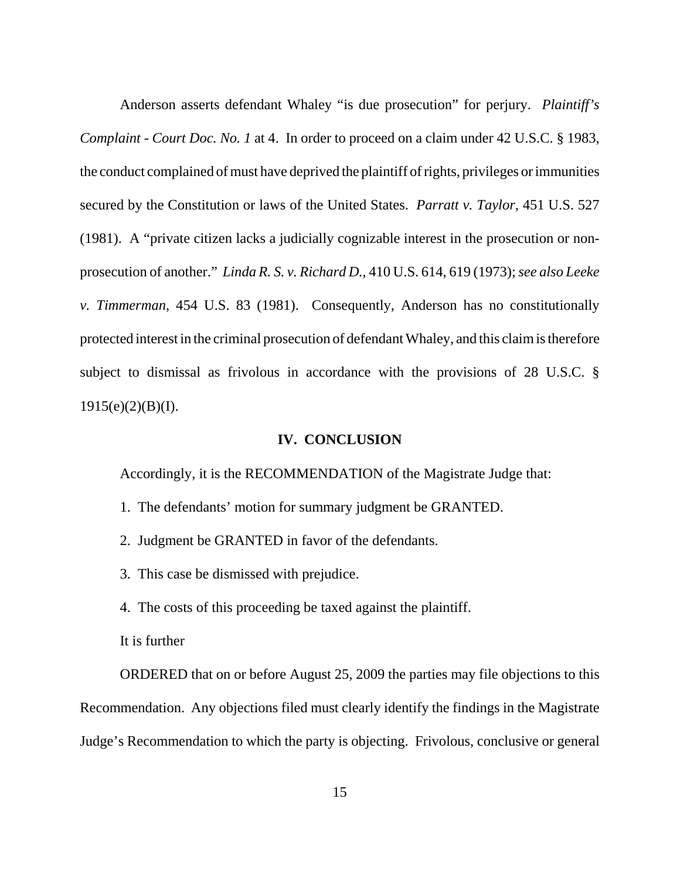Anderson asserts defendant Whaley "is due prosecution" for perjury. *Plaintiff's Complaint - Court Doc. No. 1* at 4. In order to proceed on a claim under 42 U.S.C. § 1983, the conduct complained of must have deprived the plaintiff of rights, privileges or immunities secured by the Constitution or laws of the United States. *Parratt v. Taylor*, 451 U.S. 527 (1981). A "private citizen lacks a judicially cognizable interest in the prosecution or nonprosecution of another." *Linda R. S. v. Richard D.*, 410 U.S. 614, 619 (1973); *see also Leeke v. Timmerman*, 454 U.S. 83 (1981). Consequently, Anderson has no constitutionally protected interest in the criminal prosecution of defendant Whaley, and this claim is therefore subject to dismissal as frivolous in accordance with the provisions of 28 U.S.C. §  $1915(e)(2)(B)(I).$ 

## **IV. CONCLUSION**

Accordingly, it is the RECOMMENDATION of the Magistrate Judge that:

- 1. The defendants' motion for summary judgment be GRANTED.
- 2. Judgment be GRANTED in favor of the defendants.
- 3. This case be dismissed with prejudice.
- 4. The costs of this proceeding be taxed against the plaintiff.
- It is further

ORDERED that on or before August 25, 2009 the parties may file objections to this Recommendation. Any objections filed must clearly identify the findings in the Magistrate Judge's Recommendation to which the party is objecting. Frivolous, conclusive or general